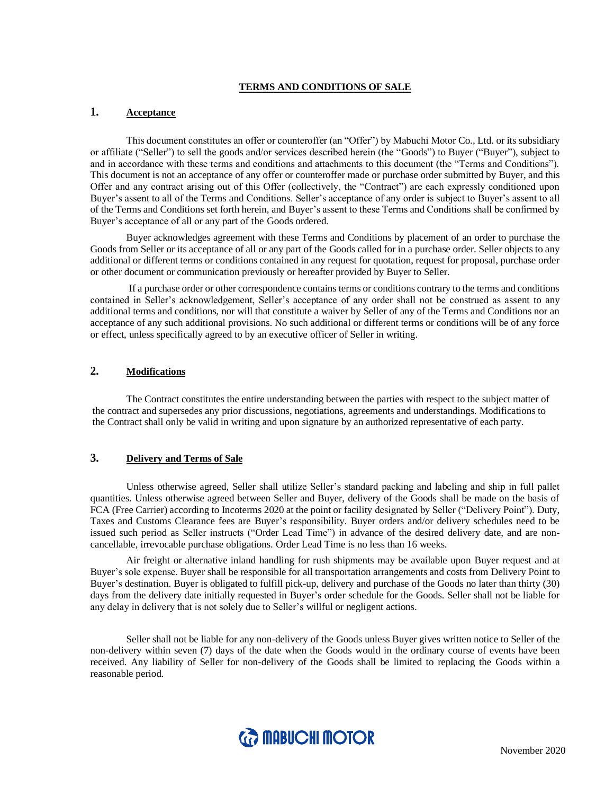#### **TERMS AND CONDITIONS OF SALE**

## **1. Acceptance**

This document constitutes an offer or counteroffer (an "Offer") by Mabuchi Motor Co., Ltd. or its subsidiary or affiliate ("Seller") to sell the goods and/or services described herein (the "Goods") to Buyer ("Buyer"), subject to and in accordance with these terms and conditions and attachments to this document (the "Terms and Conditions"). This document is not an acceptance of any offer or counteroffer made or purchase order submitted by Buyer, and this Offer and any contract arising out of this Offer (collectively, the "Contract") are each expressly conditioned upon Buyer's assent to all of the Terms and Conditions. Seller's acceptance of any order is subject to Buyer's assent to all of the Terms and Conditions set forth herein, and Buyer's assent to these Terms and Conditions shall be confirmed by Buyer's acceptance of all or any part of the Goods ordered.

Buyer acknowledges agreement with these Terms and Conditions by placement of an order to purchase the Goods from Seller or its acceptance of all or any part of the Goods called for in a purchase order. Seller objects to any additional or different terms or conditions contained in any request for quotation, request for proposal, purchase order or other document or communication previously or hereafter provided by Buyer to Seller.

If a purchase order or other correspondence contains terms or conditions contrary to the terms and conditions contained in Seller's acknowledgement, Seller's acceptance of any order shall not be construed as assent to any additional terms and conditions, nor will that constitute a waiver by Seller of any of the Terms and Conditions nor an acceptance of any such additional provisions. No such additional or different terms or conditions will be of any force or effect, unless specifically agreed to by an executive officer of Seller in writing.

## **2. Modifications**

The Contract constitutes the entire understanding between the parties with respect to the subject matter of the contract and supersedes any prior discussions, negotiations, agreements and understandings. Modifications to the Contract shall only be valid in writing and upon signature by an authorized representative of each party.

## **3. Delivery and Terms of Sale**

Unless otherwise agreed, Seller shall utilize Seller's standard packing and labeling and ship in full pallet quantities. Unless otherwise agreed between Seller and Buyer, delivery of the Goods shall be made on the basis of FCA (Free Carrier) according to Incoterms 2020 at the point or facility designated by Seller ("Delivery Point"). Duty, Taxes and Customs Clearance fees are Buyer's responsibility. Buyer orders and/or delivery schedules need to be issued such period as Seller instructs ("Order Lead Time") in advance of the desired delivery date, and are noncancellable, irrevocable purchase obligations. Order Lead Time is no less than 16 weeks.

Air freight or alternative inland handling for rush shipments may be available upon Buyer request and at Buyer's sole expense. Buyer shall be responsible for all transportation arrangements and costs from Delivery Point to Buyer's destination. Buyer is obligated to fulfill pick-up, delivery and purchase of the Goods no later than thirty (30) days from the delivery date initially requested in Buyer's order schedule for the Goods. Seller shall not be liable for any delay in delivery that is not solely due to Seller's willful or negligent actions.

Seller shall not be liable for any non-delivery of the Goods unless Buyer gives written notice to Seller of the non-delivery within seven (7) days of the date when the Goods would in the ordinary course of events have been received. Any liability of Seller for non-delivery of the Goods shall be limited to replacing the Goods within a reasonable period.

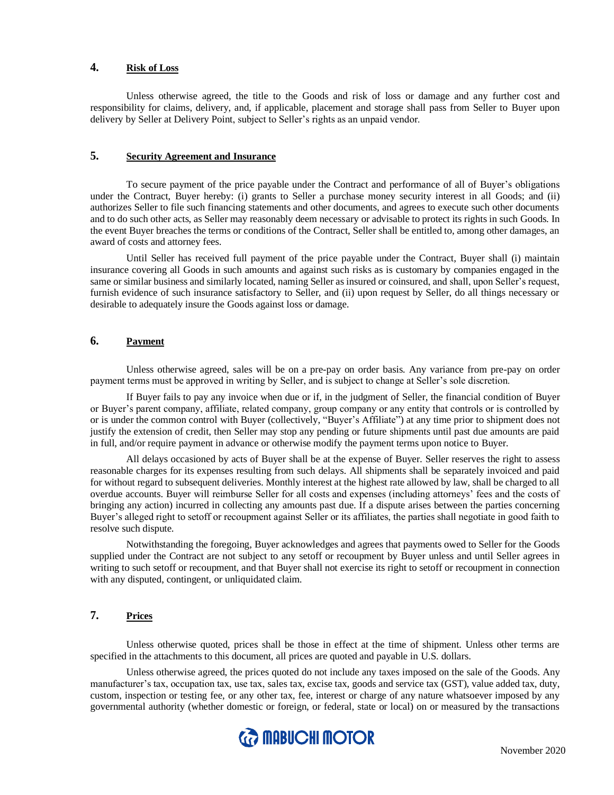# **4. Risk of Loss**

Unless otherwise agreed, the title to the Goods and risk of loss or damage and any further cost and responsibility for claims, delivery, and, if applicable, placement and storage shall pass from Seller to Buyer upon delivery by Seller at Delivery Point, subject to Seller's rights as an unpaid vendor.

# **5. Security Agreement and Insurance**

To secure payment of the price payable under the Contract and performance of all of Buyer's obligations under the Contract, Buyer hereby: (i) grants to Seller a purchase money security interest in all Goods; and (ii) authorizes Seller to file such financing statements and other documents, and agrees to execute such other documents and to do such other acts, as Seller may reasonably deem necessary or advisable to protect its rights in such Goods. In the event Buyer breaches the terms or conditions of the Contract, Seller shall be entitled to, among other damages, an award of costs and attorney fees.

Until Seller has received full payment of the price payable under the Contract, Buyer shall (i) maintain insurance covering all Goods in such amounts and against such risks as is customary by companies engaged in the same or similar business and similarly located, naming Seller as insured or coinsured, and shall, upon Seller's request, furnish evidence of such insurance satisfactory to Seller, and (ii) upon request by Seller, do all things necessary or desirable to adequately insure the Goods against loss or damage.

## **6. Payment**

Unless otherwise agreed, sales will be on a pre-pay on order basis. Any variance from pre-pay on order payment terms must be approved in writing by Seller, and is subject to change at Seller's sole discretion.

If Buyer fails to pay any invoice when due or if, in the judgment of Seller, the financial condition of Buyer or Buyer's parent company, affiliate, related company, group company or any entity that controls or is controlled by or is under the common control with Buyer (collectively, "Buyer's Affiliate") at any time prior to shipment does not justify the extension of credit, then Seller may stop any pending or future shipments until past due amounts are paid in full, and/or require payment in advance or otherwise modify the payment terms upon notice to Buyer.

All delays occasioned by acts of Buyer shall be at the expense of Buyer. Seller reserves the right to assess reasonable charges for its expenses resulting from such delays. All shipments shall be separately invoiced and paid for without regard to subsequent deliveries. Monthly interest at the highest rate allowed by law, shall be charged to all overdue accounts. Buyer will reimburse Seller for all costs and expenses (including attorneys' fees and the costs of bringing any action) incurred in collecting any amounts past due. If a dispute arises between the parties concerning Buyer's alleged right to setoff or recoupment against Seller or its affiliates, the parties shall negotiate in good faith to resolve such dispute.

Notwithstanding the foregoing, Buyer acknowledges and agrees that payments owed to Seller for the Goods supplied under the Contract are not subject to any setoff or recoupment by Buyer unless and until Seller agrees in writing to such setoff or recoupment, and that Buyer shall not exercise its right to setoff or recoupment in connection with any disputed, contingent, or unliquidated claim.

# **7. Prices**

Unless otherwise quoted, prices shall be those in effect at the time of shipment. Unless other terms are specified in the attachments to this document, all prices are quoted and payable in U.S. dollars.

Unless otherwise agreed, the prices quoted do not include any taxes imposed on the sale of the Goods. Any manufacturer's tax, occupation tax, use tax, sales tax, excise tax, goods and service tax (GST), value added tax, duty, custom, inspection or testing fee, or any other tax, fee, interest or charge of any nature whatsoever imposed by any governmental authority (whether domestic or foreign, or federal, state or local) on or measured by the transactions

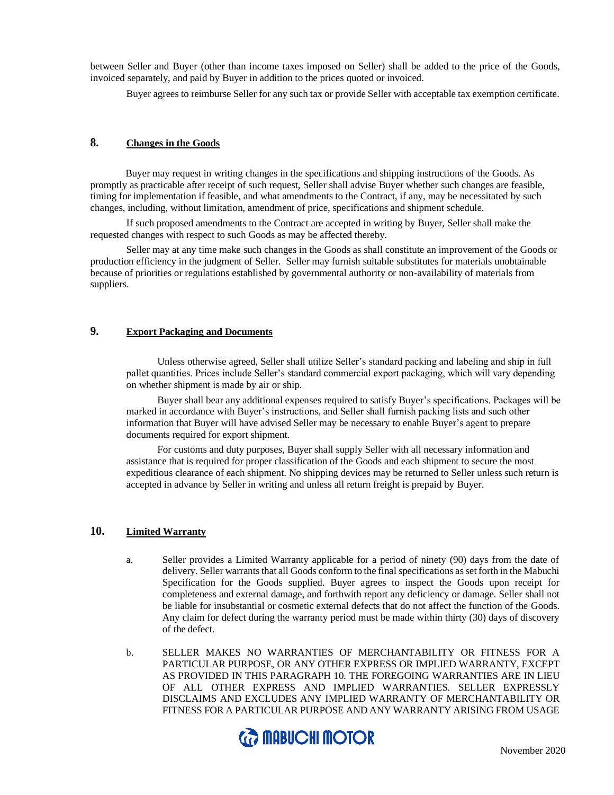between Seller and Buyer (other than income taxes imposed on Seller) shall be added to the price of the Goods, invoiced separately, and paid by Buyer in addition to the prices quoted or invoiced.

Buyer agrees to reimburse Seller for any such tax or provide Seller with acceptable tax exemption certificate.

# **8. Changes in the Goods**

 Buyer may request in writing changes in the specifications and shipping instructions of the Goods. As promptly as practicable after receipt of such request, Seller shall advise Buyer whether such changes are feasible, timing for implementation if feasible, and what amendments to the Contract, if any, may be necessitated by such changes, including, without limitation, amendment of price, specifications and shipment schedule.

If such proposed amendments to the Contract are accepted in writing by Buyer, Seller shall make the requested changes with respect to such Goods as may be affected thereby.

Seller may at any time make such changes in the Goods as shall constitute an improvement of the Goods or production efficiency in the judgment of Seller. Seller may furnish suitable substitutes for materials unobtainable because of priorities or regulations established by governmental authority or non-availability of materials from suppliers.

# **9. Export Packaging and Documents**

Unless otherwise agreed, Seller shall utilize Seller's standard packing and labeling and ship in full pallet quantities. Prices include Seller's standard commercial export packaging, which will vary depending on whether shipment is made by air or ship.

Buyer shall bear any additional expenses required to satisfy Buyer's specifications. Packages will be marked in accordance with Buyer's instructions, and Seller shall furnish packing lists and such other information that Buyer will have advised Seller may be necessary to enable Buyer's agent to prepare documents required for export shipment.

For customs and duty purposes, Buyer shall supply Seller with all necessary information and assistance that is required for proper classification of the Goods and each shipment to secure the most expeditious clearance of each shipment. No shipping devices may be returned to Seller unless such return is accepted in advance by Seller in writing and unless all return freight is prepaid by Buyer.

### **10. Limited Warranty**

- a. Seller provides a Limited Warranty applicable for a period of ninety (90) days from the date of delivery. Seller warrants that all Goods conform to the final specifications as set forth in the Mabuchi Specification for the Goods supplied. Buyer agrees to inspect the Goods upon receipt for completeness and external damage, and forthwith report any deficiency or damage. Seller shall not be liable for insubstantial or cosmetic external defects that do not affect the function of the Goods. Any claim for defect during the warranty period must be made within thirty (30) days of discovery of the defect.
- b. SELLER MAKES NO WARRANTIES OF MERCHANTABILITY OR FITNESS FOR A PARTICULAR PURPOSE, OR ANY OTHER EXPRESS OR IMPLIED WARRANTY, EXCEPT AS PROVIDED IN THIS PARAGRAPH 10. THE FOREGOING WARRANTIES ARE IN LIEU OF ALL OTHER EXPRESS AND IMPLIED WARRANTIES. SELLER EXPRESSLY DISCLAIMS AND EXCLUDES ANY IMPLIED WARRANTY OF MERCHANTABILITY OR FITNESS FOR A PARTICULAR PURPOSE AND ANY WARRANTY ARISING FROM USAGE

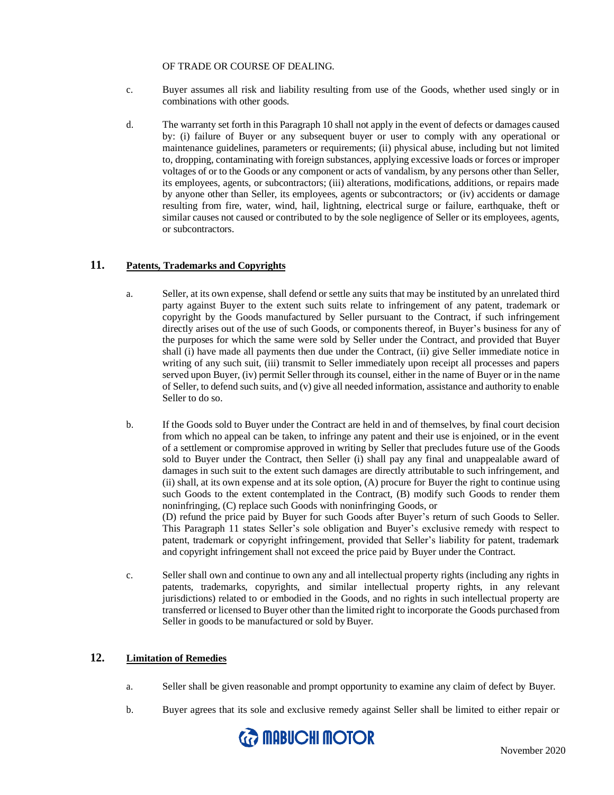#### OF TRADE OR COURSE OF DEALING.

- c. Buyer assumes all risk and liability resulting from use of the Goods, whether used singly or in combinations with other goods.
- d. The warranty set forth in this Paragraph 10 shall not apply in the event of defects or damages caused by: (i) failure of Buyer or any subsequent buyer or user to comply with any operational or maintenance guidelines, parameters or requirements; (ii) physical abuse, including but not limited to, dropping, contaminating with foreign substances, applying excessive loads or forces or improper voltages of or to the Goods or any component or acts of vandalism, by any persons other than Seller, its employees, agents, or subcontractors; (iii) alterations, modifications, additions, or repairs made by anyone other than Seller, its employees, agents or subcontractors; or (iv) accidents or damage resulting from fire, water, wind, hail, lightning, electrical surge or failure, earthquake, theft or similar causes not caused or contributed to by the sole negligence of Seller or its employees, agents, or subcontractors.

### **11. Patents, Trademarks and Copyrights**

- a. Seller, at its own expense, shall defend or settle any suits that may be instituted by an unrelated third party against Buyer to the extent such suits relate to infringement of any patent, trademark or copyright by the Goods manufactured by Seller pursuant to the Contract, if such infringement directly arises out of the use of such Goods, or components thereof, in Buyer's business for any of the purposes for which the same were sold by Seller under the Contract, and provided that Buyer shall (i) have made all payments then due under the Contract, (ii) give Seller immediate notice in writing of any such suit, (iii) transmit to Seller immediately upon receipt all processes and papers served upon Buyer, (iv) permit Seller through its counsel, either in the name of Buyer or in the name of Seller, to defend such suits, and (v) give all needed information, assistance and authority to enable Seller to do so.
- b. If the Goods sold to Buyer under the Contract are held in and of themselves, by final court decision from which no appeal can be taken, to infringe any patent and their use is enjoined, or in the event of a settlement or compromise approved in writing by Seller that precludes future use of the Goods sold to Buyer under the Contract, then Seller (i) shall pay any final and unappealable award of damages in such suit to the extent such damages are directly attributable to such infringement, and (ii) shall, at its own expense and at its sole option, (A) procure for Buyer the right to continue using such Goods to the extent contemplated in the Contract, (B) modify such Goods to render them noninfringing, (C) replace such Goods with noninfringing Goods, or (D) refund the price paid by Buyer for such Goods after Buyer's return of such Goods to Seller. This Paragraph 11 states Seller's sole obligation and Buyer's exclusive remedy with respect to patent, trademark or copyright infringement, provided that Seller's liability for patent, trademark
- and copyright infringement shall not exceed the price paid by Buyer under the Contract. c. Seller shall own and continue to own any and all intellectual property rights (including any rights in patents, trademarks, copyrights, and similar intellectual property rights, in any relevant jurisdictions) related to or embodied in the Goods, and no rights in such intellectual property are

transferred or licensed to Buyer other than the limited right to incorporate the Goods purchased from

### **12. Limitation of Remedies**

- a. Seller shall be given reasonable and prompt opportunity to examine any claim of defect by Buyer.
- b. Buyer agrees that its sole and exclusive remedy against Seller shall be limited to either repair or



Seller in goods to be manufactured or sold by Buyer.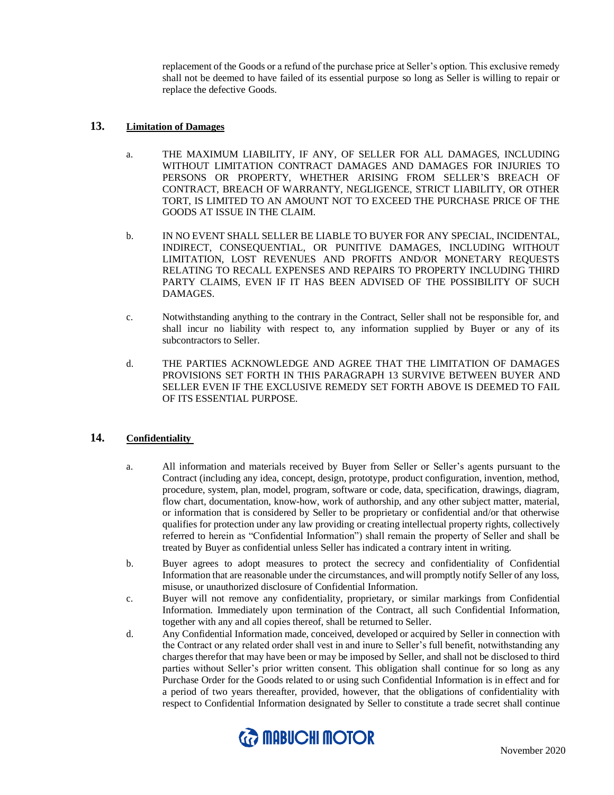replacement of the Goods or a refund of the purchase price at Seller's option. This exclusive remedy shall not be deemed to have failed of its essential purpose so long as Seller is willing to repair or replace the defective Goods.

### **13. Limitation of Damages**

- a. THE MAXIMUM LIABILITY, IF ANY, OF SELLER FOR ALL DAMAGES, INCLUDING WITHOUT LIMITATION CONTRACT DAMAGES AND DAMAGES FOR INJURIES TO PERSONS OR PROPERTY, WHETHER ARISING FROM SELLER'S BREACH OF CONTRACT, BREACH OF WARRANTY, NEGLIGENCE, STRICT LIABILITY, OR OTHER TORT, IS LIMITED TO AN AMOUNT NOT TO EXCEED THE PURCHASE PRICE OF THE GOODS AT ISSUE IN THE CLAIM.
- b. IN NO EVENT SHALL SELLER BE LIABLE TO BUYER FOR ANY SPECIAL, INCIDENTAL, INDIRECT, CONSEQUENTIAL, OR PUNITIVE DAMAGES, INCLUDING WITHOUT LIMITATION, LOST REVENUES AND PROFITS AND/OR MONETARY REQUESTS RELATING TO RECALL EXPENSES AND REPAIRS TO PROPERTY INCLUDING THIRD PARTY CLAIMS, EVEN IF IT HAS BEEN ADVISED OF THE POSSIBILITY OF SUCH DAMAGES.
- c. Notwithstanding anything to the contrary in the Contract, Seller shall not be responsible for, and shall incur no liability with respect to, any information supplied by Buyer or any of its subcontractors to Seller.
- d. THE PARTIES ACKNOWLEDGE AND AGREE THAT THE LIMITATION OF DAMAGES PROVISIONS SET FORTH IN THIS PARAGRAPH 13 SURVIVE BETWEEN BUYER AND SELLER EVEN IF THE EXCLUSIVE REMEDY SET FORTH ABOVE IS DEEMED TO FAIL OF ITS ESSENTIAL PURPOSE.

### **14. Confidentiality**

- a. All information and materials received by Buyer from Seller or Seller's agents pursuant to the Contract (including any idea, concept, design, prototype, product configuration, invention, method, procedure, system, plan, model, program, software or code, data, specification, drawings, diagram, flow chart, documentation, know-how, work of authorship, and any other subject matter, material, or information that is considered by Seller to be proprietary or confidential and/or that otherwise qualifies for protection under any law providing or creating intellectual property rights, collectively referred to herein as "Confidential Information") shall remain the property of Seller and shall be treated by Buyer as confidential unless Seller has indicated a contrary intent in writing.
- b. Buyer agrees to adopt measures to protect the secrecy and confidentiality of Confidential Information that are reasonable under the circumstances, and will promptly notify Seller of any loss, misuse, or unauthorized disclosure of Confidential Information.
- c. Buyer will not remove any confidentiality, proprietary, or similar markings from Confidential Information. Immediately upon termination of the Contract, all such Confidential Information, together with any and all copies thereof, shall be returned to Seller.
- d. Any Confidential Information made, conceived, developed or acquired by Seller in connection with the Contract or any related order shall vest in and inure to Seller's full benefit, notwithstanding any charges therefor that may have been or may be imposed by Seller, and shall not be disclosed to third parties without Seller's prior written consent. This obligation shall continue for so long as any Purchase Order for the Goods related to or using such Confidential Information is in effect and for a period of two years thereafter, provided, however, that the obligations of confidentiality with respect to Confidential Information designated by Seller to constitute a trade secret shall continue

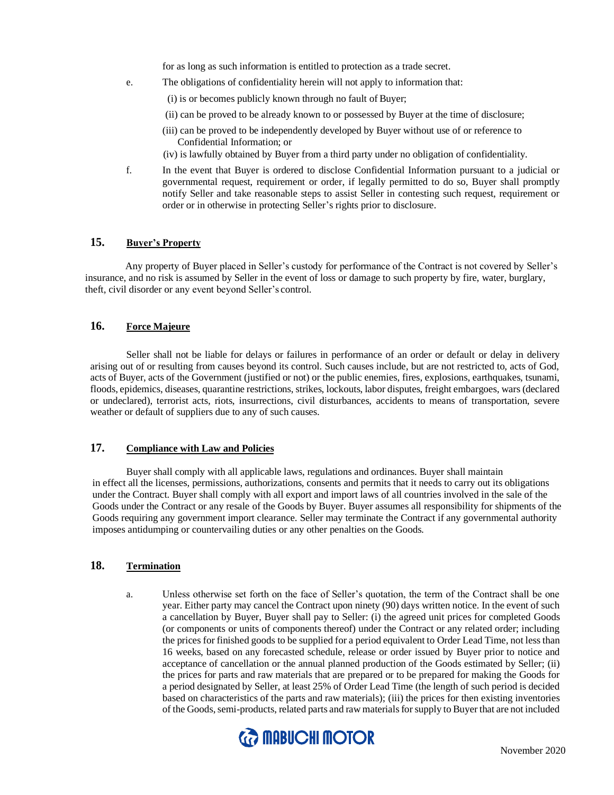for as long as such information is entitled to protection as a trade secret.

- e. The obligations of confidentiality herein will not apply to information that:
	- (i) is or becomes publicly known through no fault of Buyer;
	- (ii) can be proved to be already known to or possessed by Buyer at the time of disclosure;
	- (iii) can be proved to be independently developed by Buyer without use of or reference to Confidential Information; or
	- (iv) is lawfully obtained by Buyer from a third party under no obligation of confidentiality.
- f. In the event that Buyer is ordered to disclose Confidential Information pursuant to a judicial or governmental request, requirement or order, if legally permitted to do so, Buyer shall promptly notify Seller and take reasonable steps to assist Seller in contesting such request, requirement or order or in otherwise in protecting Seller's rights prior to disclosure.

# **15. Buyer's Property**

Any property of Buyer placed in Seller's custody for performance of the Contract is not covered by Seller's insurance, and no risk is assumed by Seller in the event of loss or damage to such property by fire, water, burglary, theft, civil disorder or any event beyond Seller's control.

# **16. Force Majeure**

Seller shall not be liable for delays or failures in performance of an order or default or delay in delivery arising out of or resulting from causes beyond its control. Such causes include, but are not restricted to, acts of God, acts of Buyer, acts of the Government (justified or not) or the public enemies, fires, explosions, earthquakes, tsunami, floods, epidemics, diseases, quarantine restrictions, strikes, lockouts, labor disputes, freight embargoes, wars (declared or undeclared), terrorist acts, riots, insurrections, civil disturbances, accidents to means of transportation, severe weather or default of suppliers due to any of such causes.

### **17. Compliance with Law and Policies**

Buyer shall comply with all applicable laws, regulations and ordinances. Buyer shall maintain in effect all the licenses, permissions, authorizations, consents and permits that it needs to carry out its obligations under the Contract. Buyer shall comply with all export and import laws of all countries involved in the sale of the Goods under the Contract or any resale of the Goods by Buyer. Buyer assumes all responsibility for shipments of the Goods requiring any government import clearance. Seller may terminate the Contract if any governmental authority imposes antidumping or countervailing duties or any other penalties on the Goods.

# **18. Termination**

a. Unless otherwise set forth on the face of Seller's quotation, the term of the Contract shall be one year. Either party may cancel the Contract upon ninety (90) days written notice. In the event of such a cancellation by Buyer, Buyer shall pay to Seller: (i) the agreed unit prices for completed Goods (or components or units of components thereof) under the Contract or any related order; including the prices for finished goods to be supplied for a period equivalent to Order Lead Time, not less than 16 weeks, based on any forecasted schedule, release or order issued by Buyer prior to notice and acceptance of cancellation or the annual planned production of the Goods estimated by Seller; (ii) the prices for parts and raw materials that are prepared or to be prepared for making the Goods for a period designated by Seller, at least 25% of Order Lead Time (the length of such period is decided based on characteristics of the parts and raw materials); (iii) the prices for then existing inventories of the Goods, semi-products, related parts and raw materials for supply to Buyer that are not included

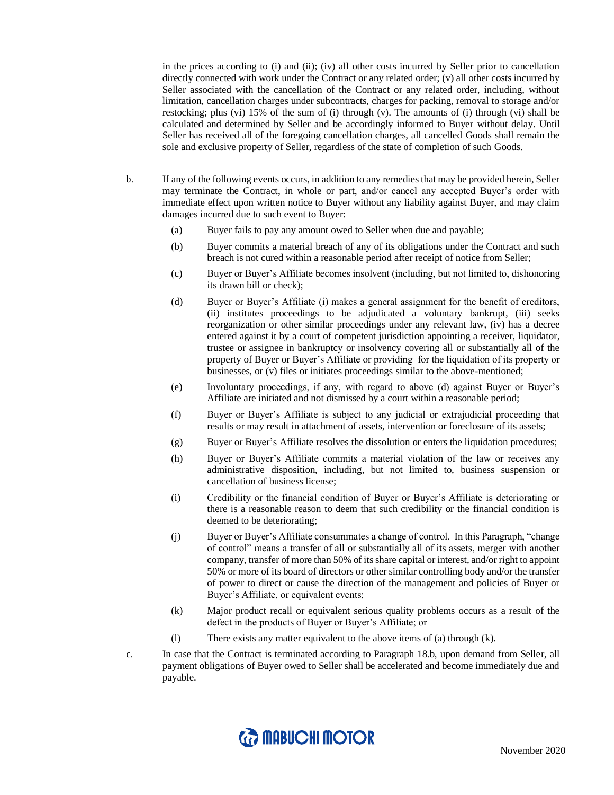in the prices according to (i) and (ii); (iv) all other costs incurred by Seller prior to cancellation directly connected with work under the Contract or any related order; (v) all other costs incurred by Seller associated with the cancellation of the Contract or any related order, including, without limitation, cancellation charges under subcontracts, charges for packing, removal to storage and/or restocking; plus (vi) 15% of the sum of (i) through (v). The amounts of (i) through (vi) shall be calculated and determined by Seller and be accordingly informed to Buyer without delay. Until Seller has received all of the foregoing cancellation charges, all cancelled Goods shall remain the sole and exclusive property of Seller, regardless of the state of completion of such Goods.

- b. If any of the following events occurs, in addition to any remedies that may be provided herein, Seller may terminate the Contract, in whole or part, and/or cancel any accepted Buyer's order with immediate effect upon written notice to Buyer without any liability against Buyer, and may claim damages incurred due to such event to Buyer:
	- (a) Buyer fails to pay any amount owed to Seller when due and payable;
	- (b) Buyer commits a material breach of any of its obligations under the Contract and such breach is not cured within a reasonable period after receipt of notice from Seller;
	- (c) Buyer or Buyer's Affiliate becomes insolvent (including, but not limited to, dishonoring its drawn bill or check);
	- (d) Buyer or Buyer's Affiliate (i) makes a general assignment for the benefit of creditors, (ii) institutes proceedings to be adjudicated a voluntary bankrupt, (iii) seeks reorganization or other similar proceedings under any relevant law, (iv) has a decree entered against it by a court of competent jurisdiction appointing a receiver, liquidator, trustee or assignee in bankruptcy or insolvency covering all or substantially all of the property of Buyer or Buyer's Affiliate or providing for the liquidation of its property or businesses, or (v) files or initiates proceedings similar to the above-mentioned;
	- (e) Involuntary proceedings, if any, with regard to above (d) against Buyer or Buyer's Affiliate are initiated and not dismissed by a court within a reasonable period;
	- (f) Buyer or Buyer's Affiliate is subject to any judicial or extrajudicial proceeding that results or may result in attachment of assets, intervention or foreclosure of its assets;
	- (g) Buyer or Buyer's Affiliate resolves the dissolution or enters the liquidation procedures;
	- (h) Buyer or Buyer's Affiliate commits a material violation of the law or receives any administrative disposition, including, but not limited to, business suspension or cancellation of business license;
	- (i) Credibility or the financial condition of Buyer or Buyer's Affiliate is deteriorating or there is a reasonable reason to deem that such credibility or the financial condition is deemed to be deteriorating;
	- (j) Buyer or Buyer's Affiliate consummates a change of control. In this Paragraph, "change of control" means a transfer of all or substantially all of its assets, merger with another company, transfer of more than 50% of its share capital or interest, and/or right to appoint 50% or more of its board of directors or other similar controlling body and/or the transfer of power to direct or cause the direction of the management and policies of Buyer or Buyer's Affiliate, or equivalent events;
	- (k) Major product recall or equivalent serious quality problems occurs as a result of the defect in the products of Buyer or Buyer's Affiliate; or
	- (l) There exists any matter equivalent to the above items of (a) through (k).
- c. In case that the Contract is terminated according to Paragraph 18.b, upon demand from Seller, all payment obligations of Buyer owed to Seller shall be accelerated and become immediately due and payable.